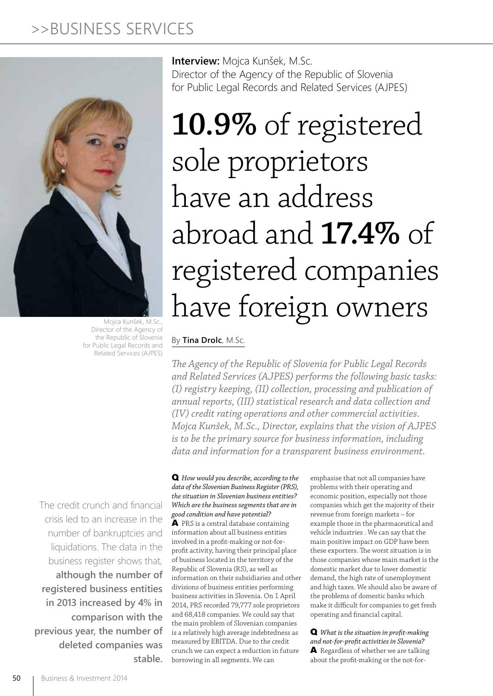# >>BUSINESS SERVICES



Mojca Kunšek, M.Sc., Director of the Agency of the Republic of Slovenia for Public Legal Records and Related Services (AJPES)

The credit crunch and financial crisis led to an increase in the number of bankruptcies and liquidations. The data in the business register shows that, **although the number of registered business entities in 2013 increased by 4% in comparison with the previous year, the number of deleted companies was stable.** **Interview:** Mojca Kunšek, M.Sc. Director of the Agency of the Republic of Slovenia for Public Legal Records and Related Services (AJPES)

# **10.9%** of registered sole proprietors have an address abroad and **17.4%** of registered companies have foreign owners

## By **Tina Drolc**, M.Sc.

*The Agency of the Republic of Slovenia for Public Legal Records and Related Services (AJPES) performs the following basic tasks: (I) registry keeping, (II) collection, processing and publication of annual reports, (III) statistical research and data collection and (IV) credit rating operations and other commercial activities. Mojca Kunšek, M.Sc., Director, explains that the vision of AJPES is to be the primary source for business information, including data and information for a transparent business environment.*

Q *How would you describe, according to the data of the Slovenian Business Register (PRS), the situation in Slovenian business entities? Which are the business segments that are in good condition and have potential?*  A PRS is a central database containing information about all business entities involved in a profit-making or not-forprofit activity, having their principal place of business located in the territory of the Republic of Slovenia (RS), as well as information on their subsidiaries and other divisions of business entities performing business activities in Slovenia. On 1 April 2014, PRS recorded 79,777 sole proprietors and 68,418 companies. We could say that the main problem of Slovenian companies is a relatively high average indebtedness as measured by EBITDA. Due to the credit crunch we can expect a reduction in future borrowing in all segments. We can

emphasise that not all companies have problems with their operating and economic position, especially not those companies which get the majority of their revenue from foreign markets – for example those in the pharmaceutical and vehicle industries . We can say that the main positive impact on GDP have been these exporters. The worst situation is in those companies whose main market is the domestic market due to lower domestic demand, the high rate of unemployment and high taxes. We should also be aware of the problems of domestic banks which make it difficult for companies to get fresh operating and financial capital.

Q *What is the situation in profit-making and not-for-profit activities in Slovenia?* A Regardless of whether we are talking about the profit-making or the not-for-